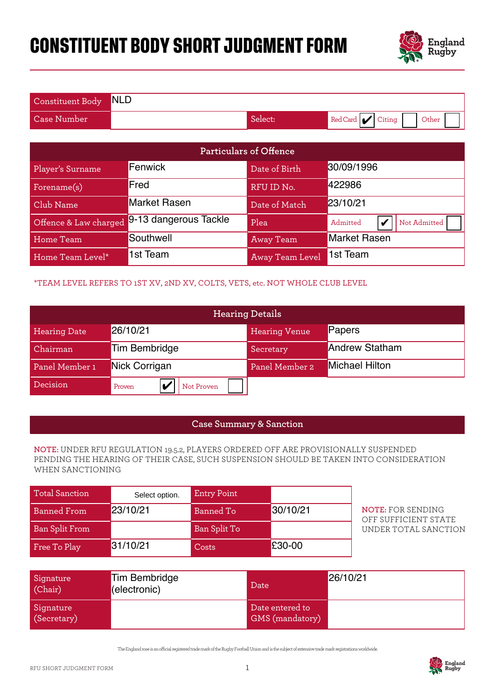# **CONSTITUENT BODY SHORT JUDGMENT FORM**



| Constituent Body NLD |         |                          |
|----------------------|---------|--------------------------|
| Case Number          | Select: | Red Card Citing<br>Other |

|                       |                                                                              |                    | Particulars of Offence             |                                                                                                                                                                             |  |
|-----------------------|------------------------------------------------------------------------------|--------------------|------------------------------------|-----------------------------------------------------------------------------------------------------------------------------------------------------------------------------|--|
| Player's Surname      | Fenwick                                                                      |                    | Date of Birth                      | 30/09/1996                                                                                                                                                                  |  |
| Forename(s)           | Fred                                                                         |                    | RFU ID No.                         | 422986                                                                                                                                                                      |  |
| Club Name             | <b>Market Rasen</b>                                                          |                    | Date of Match                      | 23/10/21                                                                                                                                                                    |  |
| Offence & Law charged | 9-13 dangerous Tackle                                                        |                    | Plea                               | Admitted<br>V<br>Not Admitted                                                                                                                                               |  |
| <b>Home Team</b>      | Southwell                                                                    |                    | <b>Away Team</b>                   | <b>Market Rasen</b>                                                                                                                                                         |  |
| Home Team Level*      | 1st Team                                                                     |                    | <b>Away Team Level</b>             | 1st Team                                                                                                                                                                    |  |
|                       | *TEAM LEVEL REFERS TO 1ST XV, 2ND XV, COLTS, VETS, etc. NOT WHOLE CLUB LEVEL |                    |                                    |                                                                                                                                                                             |  |
|                       |                                                                              |                    | <b>Hearing Details</b>             |                                                                                                                                                                             |  |
| <b>Hearing Date</b>   | 26/10/21                                                                     |                    | <b>Hearing Venue</b>               | Papers                                                                                                                                                                      |  |
| Chairman              | <b>Tim Bembridge</b>                                                         |                    | Secretary                          | <b>Andrew Statham</b>                                                                                                                                                       |  |
| Panel Member 1        | Nick Corrigan                                                                |                    | Panel Member 2                     | Michael Hilton                                                                                                                                                              |  |
| Decision              | V<br>Proven                                                                  | Not Proven         |                                    |                                                                                                                                                                             |  |
|                       |                                                                              |                    |                                    |                                                                                                                                                                             |  |
|                       |                                                                              |                    | <b>Case Summary &amp; Sanction</b> |                                                                                                                                                                             |  |
| WHEN SANCTIONING      |                                                                              |                    |                                    | NOTE: UNDER RFU REGULATION 19.5.2, PLAYERS ORDERED OFF ARE PROVISIONALLY SUSPENDED<br>PENDING THE HEARING OF THEIR CASE, SUCH SUSPENSION SHOULD BE TAKEN INTO CONSIDERATION |  |
| <b>Total Sanction</b> | Select option.                                                               | <b>Entry Point</b> |                                    |                                                                                                                                                                             |  |
| <b>Banned From</b>    | 23/10/21                                                                     | <b>Banned To</b>   | 30/10/21                           | <b>NOTE: FOR SENDING</b><br>OFF SUFFICIENT STATE                                                                                                                            |  |
| <b>Ban Split From</b> |                                                                              | Ban Split To       |                                    | UNDER TOTAL SANCTION                                                                                                                                                        |  |
| Free To Play          | 31/10/21                                                                     | Costs              | £30-00                             |                                                                                                                                                                             |  |

## \*TEAM LEVEL REFERS TO 1ST XV, 2ND XV, COLTS, VETS, etc. NOT WHOLE CLUB LEVEL

| Offence & Law charged                                                        | 9-13 dangerous Tackle                |                    | Plea                                                                               | Admitted              | Not Admitted<br>V                                                                     |  |
|------------------------------------------------------------------------------|--------------------------------------|--------------------|------------------------------------------------------------------------------------|-----------------------|---------------------------------------------------------------------------------------|--|
| Home Team                                                                    | Southwell                            |                    | <b>Away Team</b>                                                                   | <b>Market Rasen</b>   |                                                                                       |  |
| Home Team Level*                                                             | 1st Team                             |                    | Away Team Level                                                                    | 1st Team              |                                                                                       |  |
| *TEAM LEVEL REFERS TO 1ST XV, 2ND XV, COLTS, VETS, etc. NOT WHOLE CLUB LEVEL |                                      |                    |                                                                                    |                       |                                                                                       |  |
|                                                                              |                                      |                    | <b>Hearing Details</b>                                                             |                       |                                                                                       |  |
| <b>Hearing Date</b>                                                          | 26/10/21                             |                    | <b>Hearing Venue</b>                                                               | Papers                |                                                                                       |  |
| Chairman                                                                     | <b>Tim Bembridge</b>                 |                    | Secretary                                                                          | <b>Andrew Statham</b> |                                                                                       |  |
| Panel Member 1                                                               | Nick Corrigan                        |                    | Panel Member 2                                                                     | Michael Hilton        |                                                                                       |  |
| Decision                                                                     | Proven<br>V                          | Not Proven         |                                                                                    |                       |                                                                                       |  |
|                                                                              |                                      |                    |                                                                                    |                       |                                                                                       |  |
|                                                                              |                                      |                    | <b>Case Summary &amp; Sanction</b>                                                 |                       |                                                                                       |  |
| WHEN SANCTIONING                                                             |                                      |                    | NOTE: UNDER RFU REGULATION 19.5.2, PLAYERS ORDERED OFF ARE PROVISIONALLY SUSPENDED |                       | PENDING THE HEARING OF THEIR CASE, SUCH SUSPENSION SHOULD BE TAKEN INTO CONSIDERATION |  |
| <b>Total Sanction</b>                                                        | Select option.                       | <b>Entry Point</b> |                                                                                    |                       |                                                                                       |  |
| <b>Banned From</b>                                                           | 23/10/21                             | <b>Banned To</b>   | 30/10/21                                                                           |                       | <b>NOTE: FOR SENDING</b><br>OFF SUFFICIENT STATE                                      |  |
| <b>Ban Split From</b>                                                        |                                      | Ban Split To       |                                                                                    |                       | UNDER TOTAL SANCTION                                                                  |  |
| Free To Play                                                                 | 31/10/21                             | Costs              | £30-00                                                                             |                       |                                                                                       |  |
|                                                                              |                                      |                    |                                                                                    |                       |                                                                                       |  |
| Signature<br>(Chair)                                                         | <b>Tim Bembridge</b><br>(electronic) |                    | Date                                                                               | 26/10/21              |                                                                                       |  |

## **Case Summary & Sanction**

#### **NOTE:** UNDER RFU REGULATION 19.5.2, PLAYERS ORDERED OFF ARE PROVISIONALLY SUSPENDED PENDING THE HEARING OF THEIR CASE, SUCH SUSPENSION SHOULD BE TAKEN INTO CONSIDERATION WHEN SANCTIONING

| Total Sanction        | Select option. | <b>Entry Point</b> |          |
|-----------------------|----------------|--------------------|----------|
| <b>Banned From</b>    | 23/10/21       | Banned To          | 30/10/21 |
| <b>Ban Split From</b> |                | Ban Split To       |          |
| Free To Play          | 31/10/21       | Costs              | £30-00   |

| Signature<br>(Chair)     | <b>Tim Bembridge</b><br>(electronic) | Date                               | 26/10/21 |
|--------------------------|--------------------------------------|------------------------------------|----------|
| Signature<br>(Secretary) |                                      | Date entered to<br>GMS (mandatory) |          |

The England rose is an ocial registered trade mark of the Rugby Football Union and is the subject of extensive trade mark registrations worldwide.

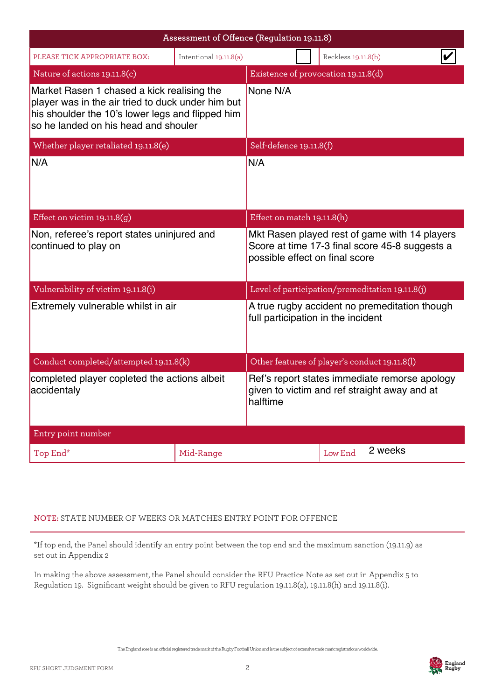| Assessment of Offence (Regulation 19.11.8)                                                                                                                                                  |                                               |                                                                                                                                   |  |                                                 |  |
|---------------------------------------------------------------------------------------------------------------------------------------------------------------------------------------------|-----------------------------------------------|-----------------------------------------------------------------------------------------------------------------------------------|--|-------------------------------------------------|--|
| PLEASE TICK APPROPRIATE BOX:                                                                                                                                                                | Intentional 19.11.8(a)                        |                                                                                                                                   |  | Reckless 19.11.8(b)                             |  |
| Nature of actions 19.11.8(c)                                                                                                                                                                | Existence of provocation 19.11.8(d)           |                                                                                                                                   |  |                                                 |  |
| Market Rasen 1 chased a kick realising the<br>player was in the air tried to duck under him but<br>his shoulder the 10's lower legs and flipped him<br>so he landed on his head and shouler |                                               | None N/A                                                                                                                          |  |                                                 |  |
| Whether player retaliated 19.11.8(e)                                                                                                                                                        |                                               | Self-defence 19.11.8(f)                                                                                                           |  |                                                 |  |
| IN/A                                                                                                                                                                                        |                                               | N/A                                                                                                                               |  |                                                 |  |
| Effect on victim $19.11.8(q)$                                                                                                                                                               |                                               | Effect on match 19.11.8(h)                                                                                                        |  |                                                 |  |
| Non, referee's report states uninjured and<br>continued to play on                                                                                                                          |                                               | Mkt Rasen played rest of game with 14 players<br>Score at time 17-3 final score 45-8 suggests a<br>possible effect on final score |  |                                                 |  |
| Vulnerability of victim 19.11.8(i)                                                                                                                                                          |                                               |                                                                                                                                   |  | Level of participation/premeditation 19.11.8(j) |  |
| Extremely vulnerable whilst in air                                                                                                                                                          |                                               | A true rugby accident no premeditation though<br>full participation in the incident                                               |  |                                                 |  |
| Conduct completed/attempted 19.11.8(k)                                                                                                                                                      | Other features of player's conduct 19.11.8(l) |                                                                                                                                   |  |                                                 |  |
| completed player copleted the actions albeit<br>accidentaly                                                                                                                                 |                                               | Ref's report states immediate remorse apology<br>given to victim and ref straight away and at<br>halftime                         |  |                                                 |  |
| Entry point number                                                                                                                                                                          |                                               |                                                                                                                                   |  |                                                 |  |
| Top End*                                                                                                                                                                                    | Mid-Range                                     | 2 weeks<br>Low End                                                                                                                |  |                                                 |  |

# **NOTE:** STATE NUMBER OF WEEKS OR MATCHES ENTRY POINT FOR OFFENCE

\*If top end, the Panel should identify an entry point between the top end and the maximum sanction (19.11.9) as set out in Appendix 2

In making the above assessment, the Panel should consider the RFU Practice Note as set out in Appendix 5 to Regulation 19. Significant weight should be given to RFU regulation 19.11.8(a), 19.11.8(h) and 19.11.8(i).

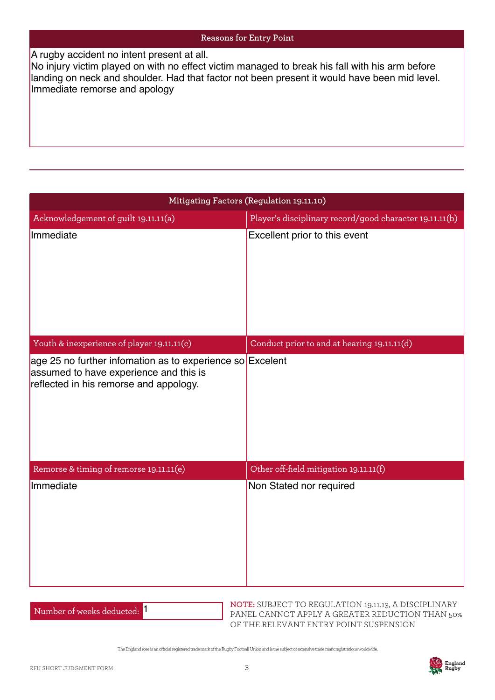| A rugby accident no intent present at all.<br>No injury victim played on with no effect victim managed to break his fall with his arm before<br>landing on neck and shoulder. Had that factor not been present it would have been mid level.<br>Immediate remorse and apology |                                                         |  |  |  |
|-------------------------------------------------------------------------------------------------------------------------------------------------------------------------------------------------------------------------------------------------------------------------------|---------------------------------------------------------|--|--|--|
|                                                                                                                                                                                                                                                                               | Mitigating Factors (Regulation 19.11.10)                |  |  |  |
| Acknowledgement of guilt 19.11.11(a)                                                                                                                                                                                                                                          | Player's disciplinary record/good character 19.11.11(b) |  |  |  |
| Immediate                                                                                                                                                                                                                                                                     | Excellent prior to this event                           |  |  |  |
| Youth & inexperience of player 19.11.11(c)                                                                                                                                                                                                                                    | Conduct prior to and at hearing 19.11.11(d)             |  |  |  |
| age 25 no further infomation as to experience so Excelent<br>assumed to have experience and this is<br>reflected in his remorse and appology.                                                                                                                                 |                                                         |  |  |  |
| Remorse & timing of remorse 19.11.11(e)                                                                                                                                                                                                                                       | Other off-field mitigation 19.11.11(f)                  |  |  |  |
| Immediate                                                                                                                                                                                                                                                                     | Non Stated nor required                                 |  |  |  |

| Number of weeks deducted: |  |
|---------------------------|--|
|---------------------------|--|

**NOTE:** SUBJECT TO REGULATION 19.11.13, A DISCIPLINARY PANEL CANNOT APPLY A GREATER REDUCTION THAN 50% OF THE RELEVANT ENTRY POINT SUSPENSION

The England rose is an ocial registered trade mark of the Rugby Football Union and is the subject of extensive trade mark registrations worldwide.